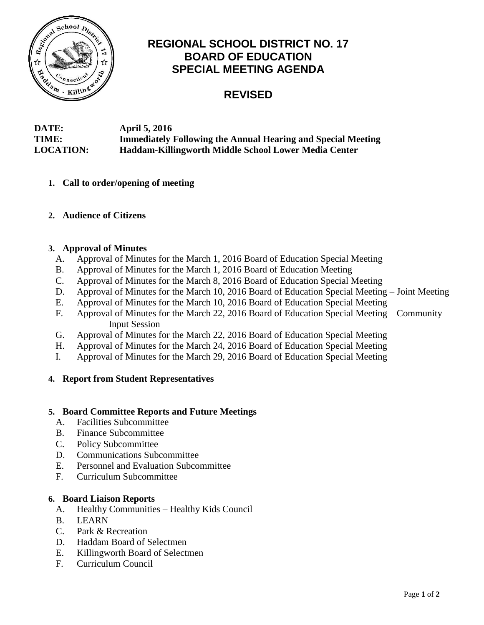

# **REGIONAL SCHOOL DISTRICT NO. 17 BOARD OF EDUCATION SPECIAL MEETING AGENDA**

# **REVISED**

## **DATE: April 5, 2016 TIME: Immediately Following the Annual Hearing and Special Meeting LOCATION: Haddam-Killingworth Middle School Lower Media Center**

- **1. Call to order/opening of meeting**
- **2. Audience of Citizens**

#### **3. Approval of Minutes**

- A. Approval of Minutes for the March 1, 2016 Board of Education Special Meeting
- B. Approval of Minutes for the March 1, 2016 Board of Education Meeting
- C. Approval of Minutes for the March 8, 2016 Board of Education Special Meeting
- D. Approval of Minutes for the March 10, 2016 Board of Education Special Meeting Joint Meeting
- E. Approval of Minutes for the March 10, 2016 Board of Education Special Meeting
- F. Approval of Minutes for the March 22, 2016 Board of Education Special Meeting Community Input Session
- G. Approval of Minutes for the March 22, 2016 Board of Education Special Meeting
- H. Approval of Minutes for the March 24, 2016 Board of Education Special Meeting
- I. Approval of Minutes for the March 29, 2016 Board of Education Special Meeting

#### **4. Report from Student Representatives**

### **5. Board Committee Reports and Future Meetings**

- A. Facilities Subcommittee
- B. Finance Subcommittee
- C. Policy Subcommittee
- D. Communications Subcommittee
- E. Personnel and Evaluation Subcommittee
- F. Curriculum Subcommittee

#### **6. Board Liaison Reports**

- A. Healthy Communities Healthy Kids Council
- B. LEARN
- C. Park & Recreation
- D. Haddam Board of Selectmen
- E. Killingworth Board of Selectmen
- F. Curriculum Council